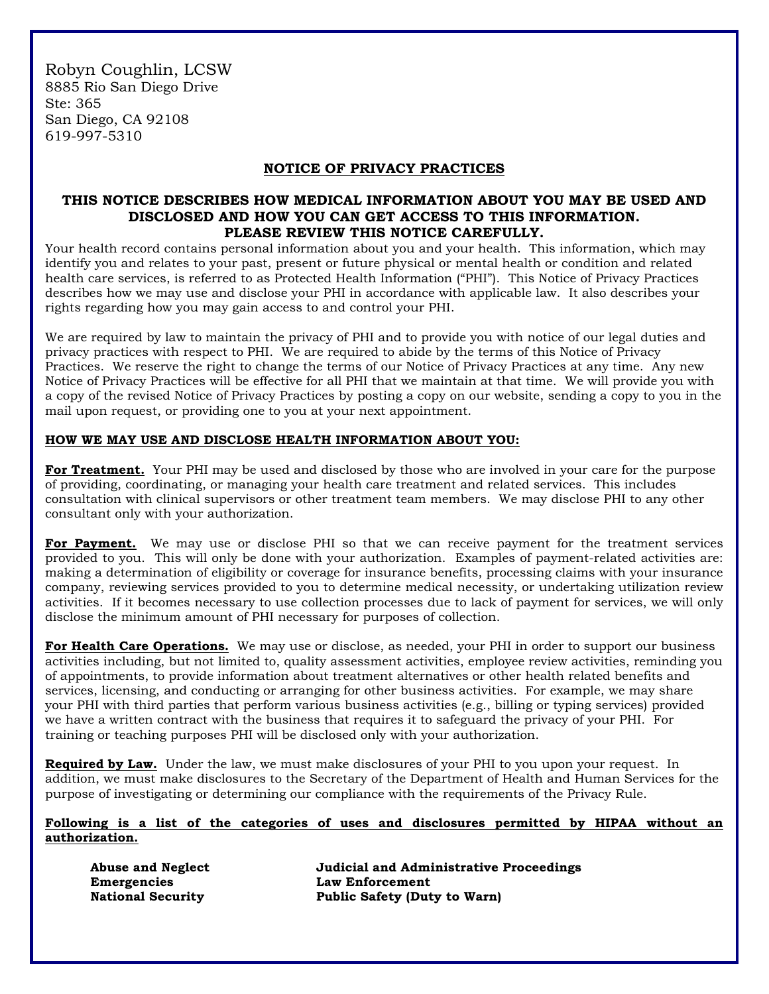Robyn Coughlin, LCSW 8885 Rio San Diego Drive Ste: 365 San Diego, CA 92108 619-997-5310

## **NOTICE OF PRIVACY PRACTICES**

## **THIS NOTICE DESCRIBES HOW MEDICAL INFORMATION ABOUT YOU MAY BE USED AND DISCLOSED AND HOW YOU CAN GET ACCESS TO THIS INFORMATION. PLEASE REVIEW THIS NOTICE CAREFULLY.**

Your health record contains personal information about you and your health. This information, which may identify you and relates to your past, present or future physical or mental health or condition and related health care services, is referred to as Protected Health Information ("PHI"). This Notice of Privacy Practices describes how we may use and disclose your PHI in accordance with applicable law. It also describes your rights regarding how you may gain access to and control your PHI.

We are required by law to maintain the privacy of PHI and to provide you with notice of our legal duties and privacy practices with respect to PHI. We are required to abide by the terms of this Notice of Privacy Practices. We reserve the right to change the terms of our Notice of Privacy Practices at any time. Any new Notice of Privacy Practices will be effective for all PHI that we maintain at that time. We will provide you with a copy of the revised Notice of Privacy Practices by posting a copy on our website, sending a copy to you in the mail upon request, or providing one to you at your next appointment.

### **HOW WE MAY USE AND DISCLOSE HEALTH INFORMATION ABOUT YOU:**

For Treatment. Your PHI may be used and disclosed by those who are involved in your care for the purpose of providing, coordinating, or managing your health care treatment and related services. This includes consultation with clinical supervisors or other treatment team members. We may disclose PHI to any other consultant only with your authorization.

**For Payment.** We may use or disclose PHI so that we can receive payment for the treatment services provided to you. This will only be done with your authorization. Examples of payment-related activities are: making a determination of eligibility or coverage for insurance benefits, processing claims with your insurance company, reviewing services provided to you to determine medical necessity, or undertaking utilization review activities. If it becomes necessary to use collection processes due to lack of payment for services, we will only disclose the minimum amount of PHI necessary for purposes of collection.

**For Health Care Operations.** We may use or disclose, as needed, your PHI in order to support our business activities including, but not limited to, quality assessment activities, employee review activities, reminding you of appointments, to provide information about treatment alternatives or other health related benefits and services, licensing, and conducting or arranging for other business activities. For example, we may share your PHI with third parties that perform various business activities (e.g., billing or typing services) provided we have a written contract with the business that requires it to safeguard the privacy of your PHI. For training or teaching purposes PHI will be disclosed only with your authorization.

**Required by Law.** Under the law, we must make disclosures of your PHI to you upon your request. In addition, we must make disclosures to the Secretary of the Department of Health and Human Services for the purpose of investigating or determining our compliance with the requirements of the Privacy Rule.

#### **Following is a list of the categories of uses and disclosures permitted by HIPAA without an authorization.**

**Emergencies Law Enforcement**

**Abuse and Neglect Judicial and Administrative Proceedings National Security Public Safety (Duty to Warn)**